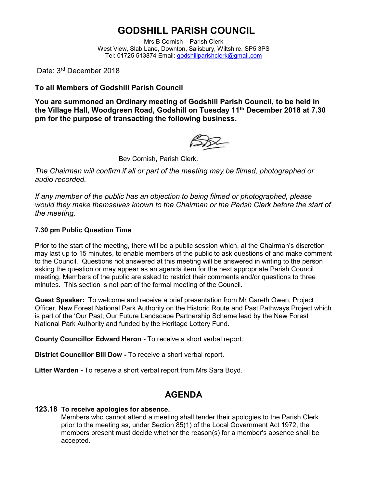## **GODSHILL PARISH COUNCIL**

Mrs B Cornish – Parish Clerk West View, Slab Lane, Downton, Salisbury, Wiltshire. SP5 3PS Tel: 01725 513874 Email: [godshillparishclerk@gmail.com](mailto:godshillparishclerk@gmail.com)

Date: 3<sup>rd</sup> December 2018

### **To all Members of Godshill Parish Council**

**You are summoned an Ordinary meeting of Godshill Parish Council, to be held in the Village Hall, Woodgreen Road, Godshill on Tuesday 11 th December 2018 at 7.30 pm for the purpose of transacting the following business.**

 $\mathbb{S}\mathbb{X}$ 

Bev Cornish, Parish Clerk.

*The Chairman will confirm if all or part of the meeting may be filmed, photographed or audio recorded.*

*If any member of the public has an objection to being filmed or photographed, please would they make themselves known to the Chairman or the Parish Clerk before the start of the meeting.*

#### **7.30 pm Public Question Time**

Prior to the start of the meeting, there will be a public session which, at the Chairman's discretion may last up to 15 minutes, to enable members of the public to ask questions of and make comment to the Council. Questions not answered at this meeting will be answered in writing to the person asking the question or may appear as an agenda item for the next appropriate Parish Council meeting. Members of the public are asked to restrict their comments and/or questions to three minutes. This section is not part of the formal meeting of the Council.

**Guest Speaker:** To welcome and receive a brief presentation from Mr Gareth Owen, Project Officer, New Forest National Park Authority on the Historic Route and Past Pathways Project which is part of the 'Our Past, Our Future Landscape Partnership Scheme lead by the New Forest National Park Authority and funded by the Heritage Lottery Fund.

**County Councillor Edward Heron -** To receive a short verbal report.

**District Councillor Bill Dow -** To receive a short verbal report.

**Litter Warden -** To receive a short verbal report from Mrs Sara Boyd.

### **AGENDA**

#### **123.18 To receive apologies for absence.**

Members who cannot attend a meeting shall tender their apologies to the Parish Clerk prior to the meeting as, under Section 85(1) of the Local Government Act 1972, the members present must decide whether the reason(s) for a member's absence shall be accepted.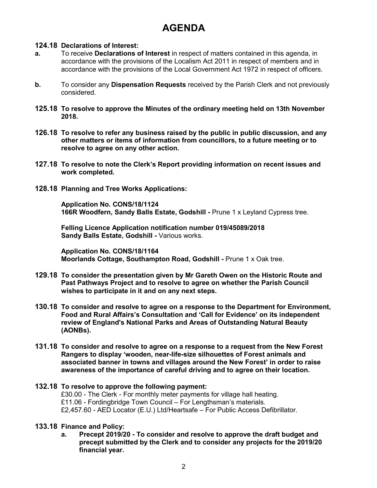# **AGENDA**

#### **124.18 Declarations of Interest:**

- **a.** To receive **Declarations of Interest** in respect of matters contained in this agenda, in accordance with the provisions of the Localism Act 2011 in respect of members and in accordance with the provisions of the Local Government Act 1972 in respect of officers.
- **b.** To consider any **Dispensation Requests** received by the Parish Clerk and not previously considered.
- **125.18 To resolve to approve the Minutes of the ordinary meeting held on 13th November 2018.**
- **126.18 To resolve to refer any business raised by the public in public discussion, and any other matters or items of information from councillors, to a future meeting or to resolve to agree on any other action.**
- **127.18 To resolve to note the Clerk's Report providing information on recent issues and work completed.**
- **128.18 Planning and Tree Works Applications:**

**Application No. CONS/18/1124 166R Woodfern, Sandy Balls Estate, Godshill -** Prune 1 x Leyland Cypress tree.

**Felling Licence Application notification number 019/45089/2018 Sandy Balls Estate, Godshill -** Various works.

**Application No. CONS/18/1164 Moorlands Cottage, Southampton Road, Godshill -** Prune 1 x Oak tree.

- **129.18 To consider the presentation given by Mr Gareth Owen on the Historic Route and Past Pathways Project and to resolve to agree on whether the Parish Council wishes to participate in it and on any next steps.**
- **130.18 To consider and resolve to agree on a response to the Department for Environment, Food and Rural Affairs's Consultation and 'Call for Evidence' on its independent review of England's National Parks and Areas of Outstanding Natural Beauty (AONBs).**
- **131.18 To consider and resolve to agree on a response to a request from the New Forest Rangers to display 'wooden, near-life-size silhouettes of Forest animals and associated banner in towns and villages around the New Forest' in order to raise awareness of the importance of careful driving and to agree on their location.**
- **132.18 To resolve to approve the following payment:** £30.00 - The Clerk - For monthly meter payments for village hall heating. £11.06 - Fordingbridge Town Council – For Lengthsman's materials. £2,457.60 - AED Locator (E.U.) Ltd/Heartsafe – For Public Access Defibrillator.
- **133.18 Finance and Policy:**
	- **a. Precept 2019/20 - To consider and resolve to approve the draft budget and precept submitted by the Clerk and to consider any projects for the 2019/20 financial year.**